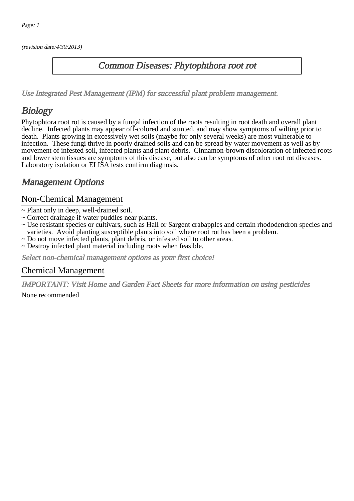(revision date:4/30/2013)

### Common Diseases: Phytophthora root rot

[Use Integrated Pest Management \(IPM\) for successful plant problem management.](http://pep.wsu.edu/Home_Garden/H_G_Pesticide_info/urban_Integrated_Pest_Managmen/)

## Biology

Phytophtora root rot is caused by a fungal infection of the roots resulting in root death and overall plant decline. Infected plants may appear off-colored and stunted, and may show symptoms of wilting prior to death. Plants growing in excessively wet soils (maybe for only several weeks) are most vulnerable to infection. These fungi thrive in poorly drained soils and can be spread by water movement as well as by movement of infested soil, infected plants and plant debris. Cinnamon-brown discoloration of infected roots and lower stem tissues are symptoms of this disease, but also can be symptoms of other root rot diseases. Laboratory isolation or ELISA tests confirm diagnosis.

## Management Options

#### Non-Chemical Management

- ~ Plant only in deep, well-drained soil.
- ~ Correct drainage if water puddles near plants.
- ~ Use resistant species or cultivars, such as Hall or Sargent crabapples and certain rhododendron species and varieties. Avoid planting susceptible plants into soil where root rot has been a problem.
- ~ Do not move infected plants, plant debris, or infested soil to other areas.
- ~ Destroy infected plant material including roots when feasible.

Select non-chemical management options as your first choice!

#### Chemical Management

IMPORTANT: [Visit Home and Garden Fact Sheets for more information on using pesticides](http://pep.wsu.edu/Home_Garden/H_G_Pesticide_info/) None recommended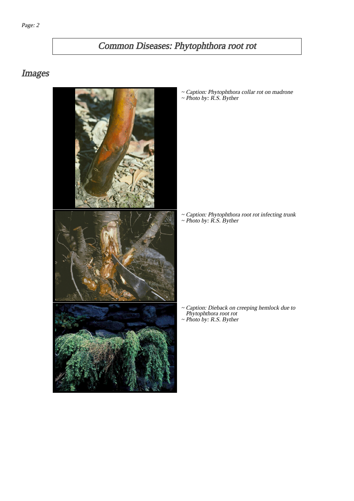# Common Diseases: Phytophthora root rot

## Images



~ Caption: Phytophthora collar rot on madrone ~ Photo by: R.S. Byther

~ Caption: Phytophthora root rot infecting trunk ~ Photo by: R.S. Byther

Caption: Dieback on creeping hemlock due to Phytophthora root rot ~